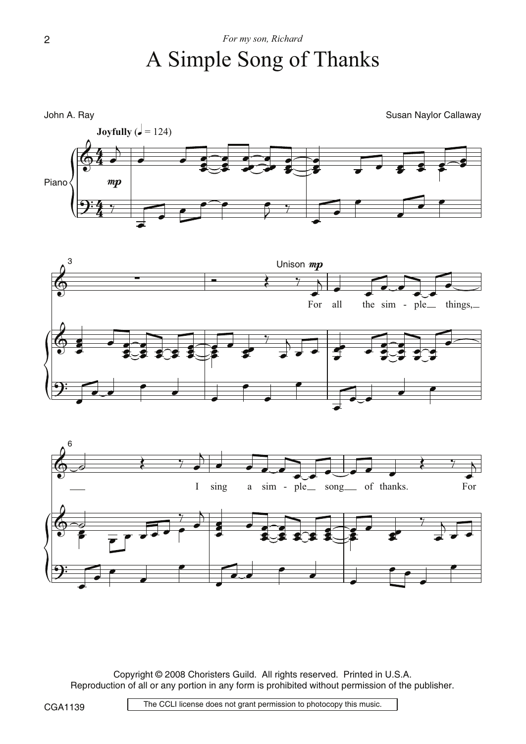





Copyright © 2008 Choristers Guild. All rights reserved. Printed in U.S.A. Reproduction of all or any portion in any form is prohibited without permission of the publisher.

The CCLI license does not grant permission to photocopy this music.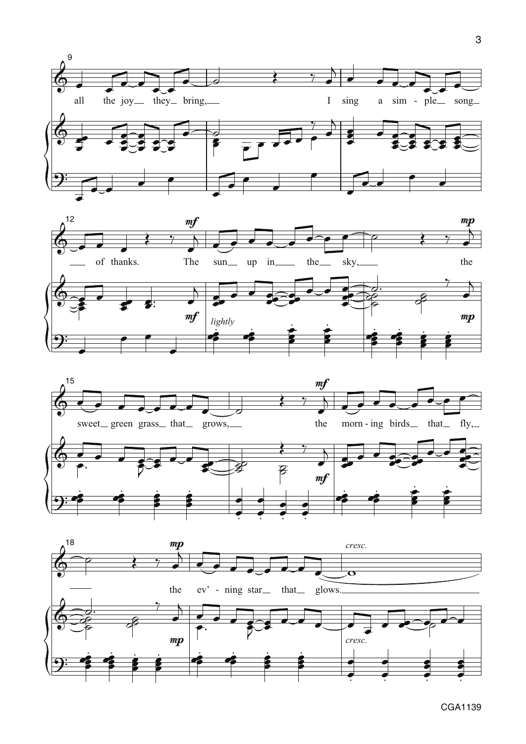